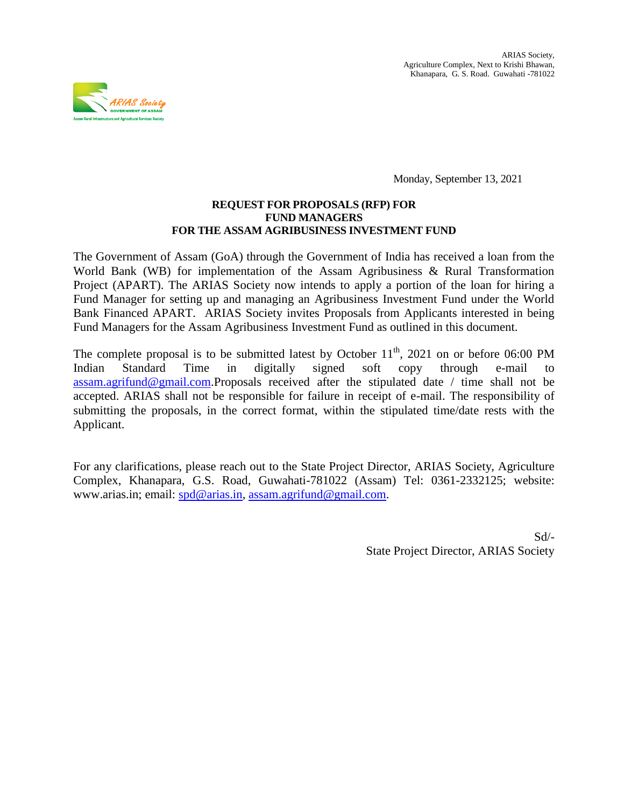

Monday, September 13, 2021

#### **REQUEST FOR PROPOSALS (RFP) FOR FUND MANAGERS FOR THE ASSAM AGRIBUSINESS INVESTMENT FUND**

The Government of Assam (GoA) through the Government of India has received a loan from the World Bank (WB) for implementation of the Assam Agribusiness & Rural Transformation Project (APART). The ARIAS Society now intends to apply a portion of the loan for hiring a Fund Manager for setting up and managing an Agribusiness Investment Fund under the World Bank Financed APART. ARIAS Society invites Proposals from Applicants interested in being Fund Managers for the Assam Agribusiness Investment Fund as outlined in this document.

The complete proposal is to be submitted latest by October  $11<sup>th</sup>$ , 2021 on or before 06:00 PM Indian Standard Time in digitally signed soft copy through e-mail to [assam.agrifund@gmail.com.](mailto:assam.agrifund@gmail.com)Proposals received after the stipulated date / time shall not be accepted. ARIAS shall not be responsible for failure in receipt of e-mail. The responsibility of submitting the proposals, in the correct format, within the stipulated time/date rests with the Applicant.

For any clarifications, please reach out to the State Project Director, ARIAS Society, Agriculture Complex, Khanapara, G.S. Road, Guwahati-781022 (Assam) Tel: 0361-2332125; website: www.arias.in; email: [spd@arias.in,](mailto:spd@arias.in) [assam.agrifund@gmail.com.](mailto:assam.agrifund@gmail.com)

> Sd/- State Project Director, ARIAS Society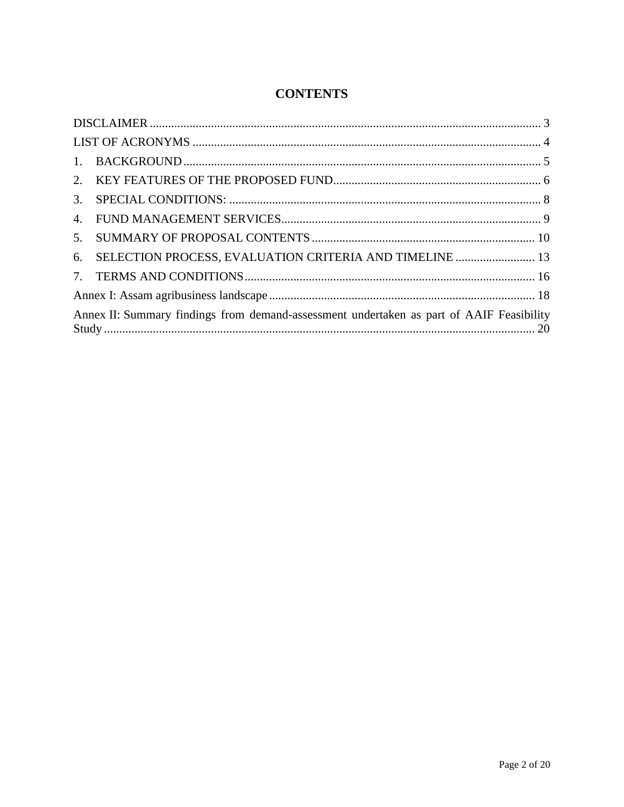## **CONTENTS**

| 2.                                                                                       |                                                         |  |  |  |
|------------------------------------------------------------------------------------------|---------------------------------------------------------|--|--|--|
|                                                                                          |                                                         |  |  |  |
|                                                                                          |                                                         |  |  |  |
| 5.                                                                                       |                                                         |  |  |  |
| 6.                                                                                       | SELECTION PROCESS, EVALUATION CRITERIA AND TIMELINE  13 |  |  |  |
|                                                                                          |                                                         |  |  |  |
|                                                                                          |                                                         |  |  |  |
| Annex II: Summary findings from demand-assessment undertaken as part of AAIF Feasibility |                                                         |  |  |  |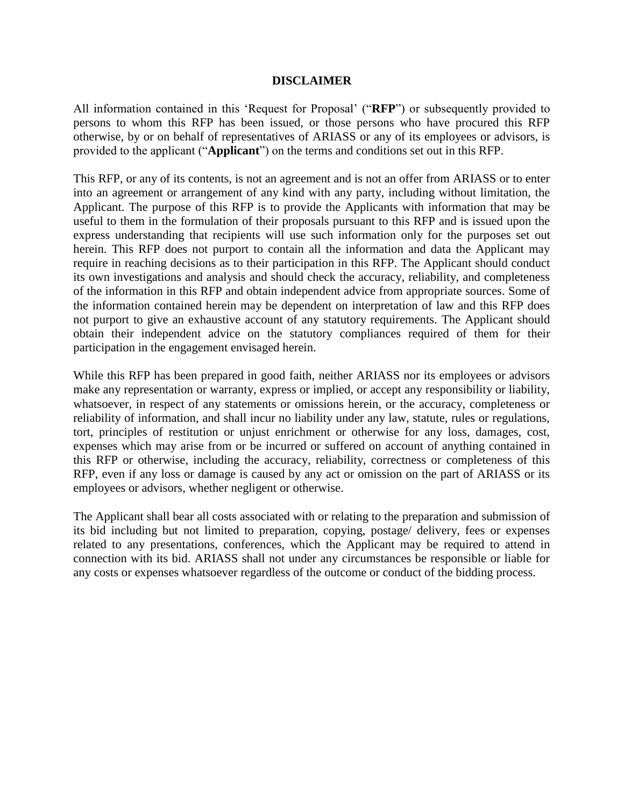#### **DISCLAIMER**

<span id="page-2-0"></span>All information contained in this "Request for Proposal" ("**RFP**") or subsequently provided to persons to whom this RFP has been issued, or those persons who have procured this RFP otherwise, by or on behalf of representatives of ARIASS or any of its employees or advisors, is provided to the applicant ("**Applicant**") on the terms and conditions set out in this RFP.

This RFP, or any of its contents, is not an agreement and is not an offer from ARIASS or to enter into an agreement or arrangement of any kind with any party, including without limitation, the Applicant. The purpose of this RFP is to provide the Applicants with information that may be useful to them in the formulation of their proposals pursuant to this RFP and is issued upon the express understanding that recipients will use such information only for the purposes set out herein. This RFP does not purport to contain all the information and data the Applicant may require in reaching decisions as to their participation in this RFP. The Applicant should conduct its own investigations and analysis and should check the accuracy, reliability, and completeness of the information in this RFP and obtain independent advice from appropriate sources. Some of the information contained herein may be dependent on interpretation of law and this RFP does not purport to give an exhaustive account of any statutory requirements. The Applicant should obtain their independent advice on the statutory compliances required of them for their participation in the engagement envisaged herein.

While this RFP has been prepared in good faith, neither ARIASS nor its employees or advisors make any representation or warranty, express or implied, or accept any responsibility or liability, whatsoever, in respect of any statements or omissions herein, or the accuracy, completeness or reliability of information, and shall incur no liability under any law, statute, rules or regulations, tort, principles of restitution or unjust enrichment or otherwise for any loss, damages, cost, expenses which may arise from or be incurred or suffered on account of anything contained in this RFP or otherwise, including the accuracy, reliability, correctness or completeness of this RFP, even if any loss or damage is caused by any act or omission on the part of ARIASS or its employees or advisors, whether negligent or otherwise.

The Applicant shall bear all costs associated with or relating to the preparation and submission of its bid including but not limited to preparation, copying, postage/ delivery, fees or expenses related to any presentations, conferences, which the Applicant may be required to attend in connection with its bid. ARIASS shall not under any circumstances be responsible or liable for any costs or expenses whatsoever regardless of the outcome or conduct of the bidding process.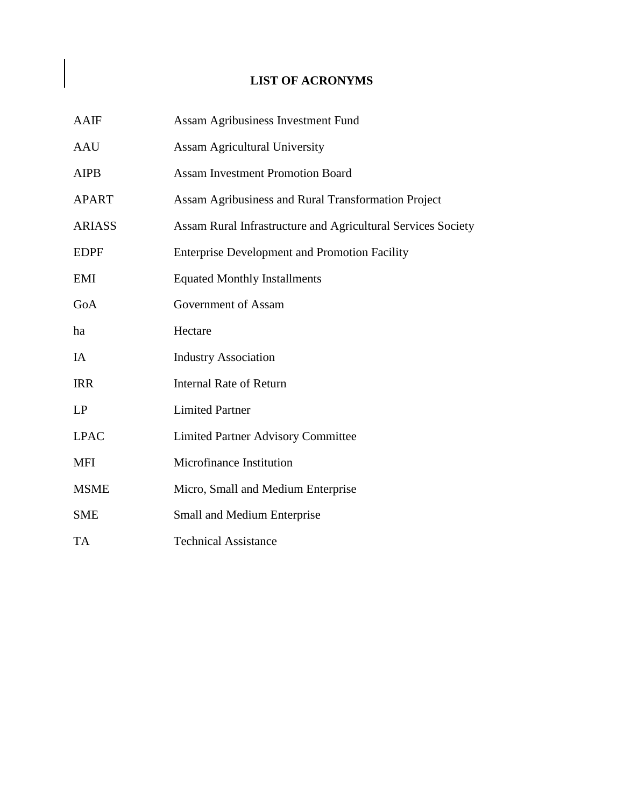## **LIST OF ACRONYMS**

<span id="page-3-0"></span>

| <b>AAIF</b>   | Assam Agribusiness Investment Fund                           |
|---------------|--------------------------------------------------------------|
| <b>AAU</b>    | <b>Assam Agricultural University</b>                         |
| <b>AIPB</b>   | <b>Assam Investment Promotion Board</b>                      |
| <b>APART</b>  | Assam Agribusiness and Rural Transformation Project          |
| <b>ARIASS</b> | Assam Rural Infrastructure and Agricultural Services Society |
| <b>EDPF</b>   | <b>Enterprise Development and Promotion Facility</b>         |
| EMI           | <b>Equated Monthly Installments</b>                          |
| GoA           | Government of Assam                                          |
| ha            | Hectare                                                      |
| IA            | <b>Industry Association</b>                                  |
| <b>IRR</b>    | <b>Internal Rate of Return</b>                               |
| LP            | <b>Limited Partner</b>                                       |
| <b>LPAC</b>   | <b>Limited Partner Advisory Committee</b>                    |
| MFI           | Microfinance Institution                                     |
| <b>MSME</b>   | Micro, Small and Medium Enterprise                           |
| <b>SME</b>    | Small and Medium Enterprise                                  |
| TA            | <b>Technical Assistance</b>                                  |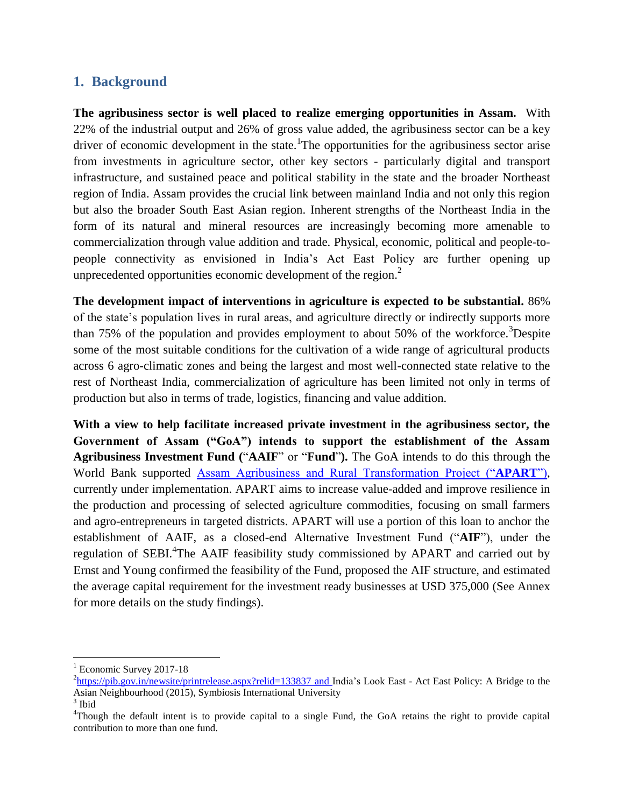### <span id="page-4-0"></span>**1. Background**

**The agribusiness sector is well placed to realize emerging opportunities in Assam.** With 22% of the industrial output and 26% of gross value added, the agribusiness sector can be a key driver of economic development in the state. The opportunities for the agribusiness sector arise from investments in agriculture sector, other key sectors - particularly digital and transport infrastructure, and sustained peace and political stability in the state and the broader Northeast region of India. Assam provides the crucial link between mainland India and not only this region but also the broader South East Asian region. Inherent strengths of the Northeast India in the form of its natural and mineral resources are increasingly becoming more amenable to commercialization through value addition and trade. Physical, economic, political and people-topeople connectivity as envisioned in India"s Act East Policy are further opening up unprecedented opportunities economic development of the region. $<sup>2</sup>$ </sup>

**The development impact of interventions in agriculture is expected to be substantial.** 86% of the state"s population lives in rural areas, and agriculture directly or indirectly supports more than 75% of the population and provides employment to about 50% of the workforce.<sup>3</sup>Despite some of the most suitable conditions for the cultivation of a wide range of agricultural products across 6 agro-climatic zones and being the largest and most well-connected state relative to the rest of Northeast India, commercialization of agriculture has been limited not only in terms of production but also in terms of trade, logistics, financing and value addition.

**With a view to help facilitate increased private investment in the agribusiness sector, the Government of Assam ("GoA") intends to support the establishment of the Assam Agribusiness Investment Fund (**"**AAIF**" or "**Fund**"**).** The GoA intends to do this through the World Bank supported [Assam Agribusiness and Rural Transformation Project \("](http://www.arias.in/apart.html)**APART**"), currently under implementation. APART aims to increase value-added and improve resilience in the production and processing of selected agriculture commodities, focusing on small farmers and agro-entrepreneurs in targeted districts. APART will use a portion of this loan to anchor the establishment of AAIF, as a closed-end Alternative Investment Fund ("**AIF**"), under the regulation of SEBI.<sup>4</sup>The AAIF feasibility study commissioned by APART and carried out by Ernst and Young confirmed the feasibility of the Fund, proposed the AIF structure, and estimated the average capital requirement for the investment ready businesses at USD 375,000 (See Annex for more details on the study findings).

 $1$  Economic Survey 2017-18

<sup>&</sup>lt;sup>2</sup><https://pib.gov.in/newsite/printrelease.aspx?relid=133837> and India's Look East - Act East Policy: A Bridge to the Asian Neighbourhood (2015), Symbiosis International University

<sup>3</sup> Ibid

<sup>4</sup>Though the default intent is to provide capital to a single Fund, the GoA retains the right to provide capital contribution to more than one fund.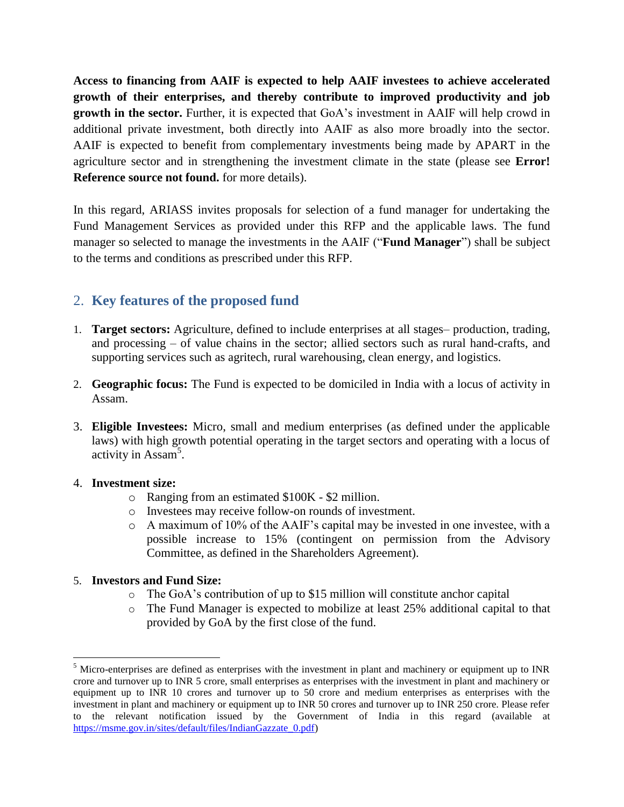**Access to financing from AAIF is expected to help AAIF investees to achieve accelerated growth of their enterprises, and thereby contribute to improved productivity and job growth in the sector.** Further, it is expected that GoA"s investment in AAIF will help crowd in additional private investment, both directly into AAIF as also more broadly into the sector. AAIF is expected to benefit from complementary investments being made by APART in the agriculture sector and in strengthening the investment climate in the state (please see **Error! Reference source not found.** for more details).

In this regard, ARIASS invites proposals for selection of a fund manager for undertaking the Fund Management Services as provided under this RFP and the applicable laws. The fund manager so selected to manage the investments in the AAIF ("**Fund Manager**") shall be subject to the terms and conditions as prescribed under this RFP.

## <span id="page-5-0"></span>2. **Key features of the proposed fund**

- 1. **Target sectors:** Agriculture, defined to include enterprises at all stages– production, trading, and processing – of value chains in the sector; allied sectors such as rural hand-crafts, and supporting services such as agritech, rural warehousing, clean energy, and logistics.
- 2. **Geographic focus:** The Fund is expected to be domiciled in India with a locus of activity in Assam.
- 3. **Eligible Investees:** Micro, small and medium enterprises (as defined under the applicable laws) with high growth potential operating in the target sectors and operating with a locus of activity in Assam<sup>5</sup>.

### 4. **Investment size:**

 $\overline{a}$ 

- o Ranging from an estimated \$100K \$2 million.
- o Investees may receive follow-on rounds of investment.
- o A maximum of 10% of the AAIF"s capital may be invested in one investee, with a possible increase to 15% (contingent on permission from the Advisory Committee, as defined in the Shareholders Agreement).

### 5. **Investors and Fund Size:**

- o The GoA"s contribution of up to \$15 million will constitute anchor capital
- o The Fund Manager is expected to mobilize at least 25% additional capital to that provided by GoA by the first close of the fund.

 $<sup>5</sup>$  Micro-enterprises are defined as enterprises with the investment in plant and machinery or equipment up to INR</sup> crore and turnover up to INR 5 crore, small enterprises as enterprises with the investment in plant and machinery or equipment up to INR 10 crores and turnover up to 50 crore and medium enterprises as enterprises with the investment in plant and machinery or equipment up to INR 50 crores and turnover up to INR 250 crore. Please refer to the relevant notification issued by the Government of India in this regard (available at [https://msme.gov.in/sites/default/files/IndianGazzate\\_0.pdf\)](https://msme.gov.in/sites/default/files/IndianGazzate_0.pdf)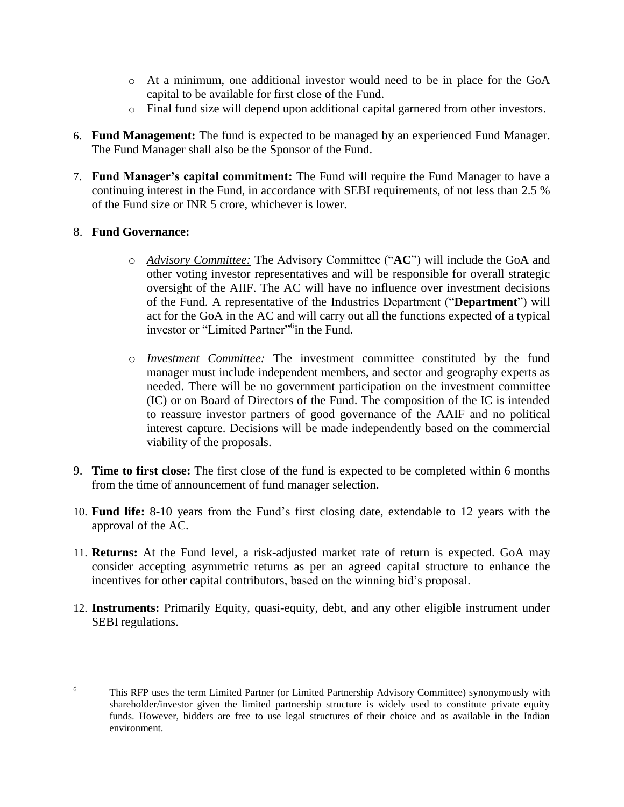- o At a minimum, one additional investor would need to be in place for the GoA capital to be available for first close of the Fund.
- o Final fund size will depend upon additional capital garnered from other investors.
- 6. **Fund Management:** The fund is expected to be managed by an experienced Fund Manager. The Fund Manager shall also be the Sponsor of the Fund.
- 7. **Fund Manager's capital commitment:** The Fund will require the Fund Manager to have a continuing interest in the Fund, in accordance with SEBI requirements, of not less than 2.5 % of the Fund size or INR 5 crore, whichever is lower.

### 8. **Fund Governance:**

- o *Advisory Committee:* The Advisory Committee ("**AC**") will include the GoA and other voting investor representatives and will be responsible for overall strategic oversight of the AIIF. The AC will have no influence over investment decisions of the Fund. A representative of the Industries Department ("**Department**") will act for the GoA in the AC and will carry out all the functions expected of a typical investor or "Limited Partner"<sup>6</sup>in the Fund.
- o *Investment Committee:* The investment committee constituted by the fund manager must include independent members, and sector and geography experts as needed. There will be no government participation on the investment committee (IC) or on Board of Directors of the Fund. The composition of the IC is intended to reassure investor partners of good governance of the AAIF and no political interest capture. Decisions will be made independently based on the commercial viability of the proposals.
- 9. **Time to first close:** The first close of the fund is expected to be completed within 6 months from the time of announcement of fund manager selection.
- 10. **Fund life:** 8-10 years from the Fund"s first closing date, extendable to 12 years with the approval of the AC.
- 11. **Returns:** At the Fund level, a risk-adjusted market rate of return is expected. GoA may consider accepting asymmetric returns as per an agreed capital structure to enhance the incentives for other capital contributors, based on the winning bid"s proposal.
- 12. **Instruments:** Primarily Equity, quasi-equity, debt, and any other eligible instrument under SEBI regulations.

 $\overline{6}$ <sup>6</sup> This RFP uses the term Limited Partner (or Limited Partnership Advisory Committee) synonymously with shareholder/investor given the limited partnership structure is widely used to constitute private equity funds. However, bidders are free to use legal structures of their choice and as available in the Indian environment.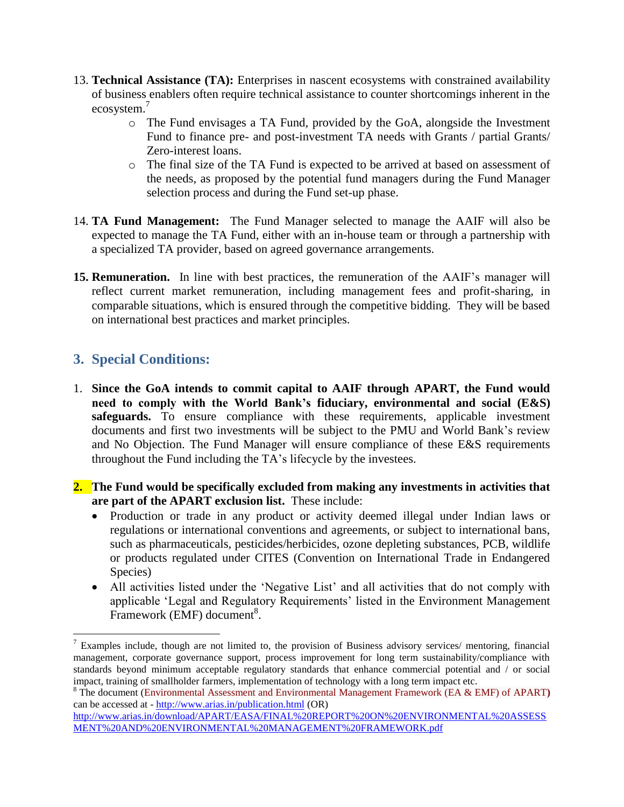- 13. **Technical Assistance (TA):** Enterprises in nascent ecosystems with constrained availability of business enablers often require technical assistance to counter shortcomings inherent in the ecosystem.<sup>7</sup>
	- o The Fund envisages a TA Fund, provided by the GoA, alongside the Investment Fund to finance pre- and post-investment TA needs with Grants / partial Grants/ Zero-interest loans.
	- o The final size of the TA Fund is expected to be arrived at based on assessment of the needs, as proposed by the potential fund managers during the Fund Manager selection process and during the Fund set-up phase.
- 14. **TA Fund Management:** The Fund Manager selected to manage the AAIF will also be expected to manage the TA Fund, either with an in-house team or through a partnership with a specialized TA provider, based on agreed governance arrangements.
- 15. **Remuneration.** In line with best practices, the remuneration of the AAIF's manager will reflect current market remuneration, including management fees and profit-sharing, in comparable situations, which is ensured through the competitive bidding. They will be based on international best practices and market principles.

## <span id="page-7-0"></span>**3. Special Conditions:**

- 1. **Since the GoA intends to commit capital to AAIF through APART, the Fund would need to comply with the World Bank's fiduciary, environmental and social (E&S)** safeguards. To ensure compliance with these requirements, applicable investment documents and first two investments will be subject to the PMU and World Bank"s review and No Objection. The Fund Manager will ensure compliance of these E&S requirements throughout the Fund including the TA"s lifecycle by the investees.
- **2. The Fund would be specifically excluded from making any investments in activities that are part of the APART exclusion list.** These include:
	- Production or trade in any product or activity deemed illegal under Indian laws or regulations or international conventions and agreements, or subject to international bans, such as pharmaceuticals, pesticides/herbicides, ozone depleting substances, PCB, wildlife or products regulated under CITES (Convention on International Trade in Endangered Species)
	- All activities listed under the "Negative List" and all activities that do not comply with applicable 'Legal and Regulatory Requirements' listed in the Environment Management Framework (EMF) document<sup>8</sup>.

<sup>&</sup>lt;sup>7</sup> Examples include, though are not limited to, the provision of Business advisory services/ mentoring, financial management, corporate governance support, process improvement for long term sustainability/compliance with standards beyond minimum acceptable regulatory standards that enhance commercial potential and / or social impact, training of smallholder farmers, implementation of technology with a long term impact etc.

<sup>8</sup> The document (Environmental Assessment and Environmental Management Framework (EA & EMF) of APART**)** can be accessed at - <http://www.arias.in/publication.html> (OR)

[http://www.arias.in/download/APART/EASA/FINAL%20REPORT%20ON%20ENVIRONMENTAL%20ASSESS](http://www.arias.in/download/APART/EASA/FINAL%20REPORT%20ON%20ENVIRONMENTAL%20ASSESSMENT%20AND%20ENVIRONMENTAL%20MANAGEMENT%20FRAMEWORK.pdf) [MENT%20AND%20ENVIRONMENTAL%20MANAGEMENT%20FRAMEWORK.pdf](http://www.arias.in/download/APART/EASA/FINAL%20REPORT%20ON%20ENVIRONMENTAL%20ASSESSMENT%20AND%20ENVIRONMENTAL%20MANAGEMENT%20FRAMEWORK.pdf)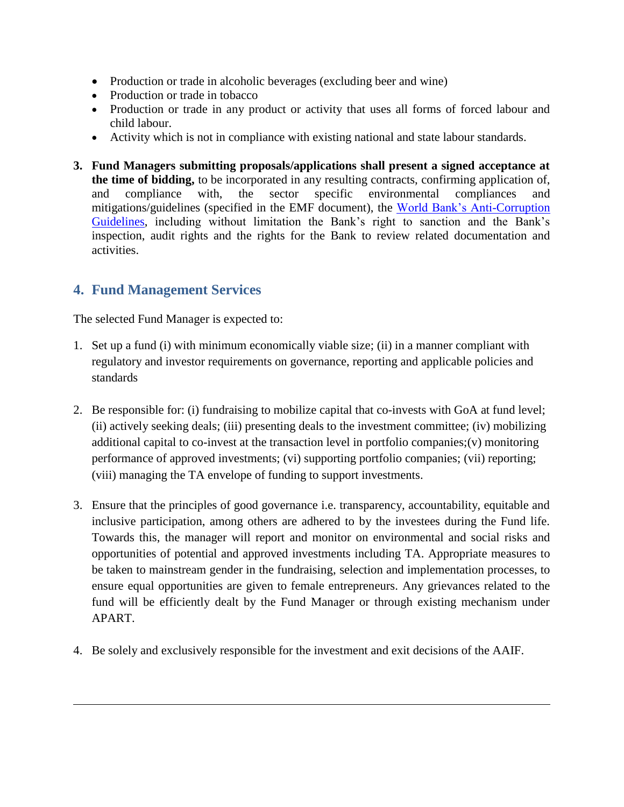- Production or trade in alcoholic beverages (excluding beer and wine)
- Production or trade in tobacco
- Production or trade in any product or activity that uses all forms of forced labour and child labour.
- Activity which is not in compliance with existing national and state labour standards.
- **3. Fund Managers submitting proposals/applications shall present a signed acceptance at the time of bidding,** to be incorporated in any resulting contracts, confirming application of, and compliance with, the sector specific environmental compliances and mitigations/guidelines (specified in the EMF document), the [World Bank"s Anti-Corruption](https://www.worldbank.org/content/dam/documents/sanctions/other-documents/osd/User%20Friendly%20Version%20of%20the%20Anti-Corruption%20Guidelines.pdf)  [Guidelines,](https://www.worldbank.org/content/dam/documents/sanctions/other-documents/osd/User%20Friendly%20Version%20of%20the%20Anti-Corruption%20Guidelines.pdf) including without limitation the Bank's right to sanction and the Bank's inspection, audit rights and the rights for the Bank to review related documentation and activities.

## <span id="page-8-0"></span>**4. Fund Management Services**

 $\overline{a}$ 

The selected Fund Manager is expected to:

- 1. Set up a fund (i) with minimum economically viable size; (ii) in a manner compliant with regulatory and investor requirements on governance, reporting and applicable policies and standards
- 2. Be responsible for: (i) fundraising to mobilize capital that co-invests with GoA at fund level; (ii) actively seeking deals; (iii) presenting deals to the investment committee; (iv) mobilizing additional capital to co-invest at the transaction level in portfolio companies;(v) monitoring performance of approved investments; (vi) supporting portfolio companies; (vii) reporting; (viii) managing the TA envelope of funding to support investments.
- 3. Ensure that the principles of good governance i.e. transparency, accountability, equitable and inclusive participation, among others are adhered to by the investees during the Fund life. Towards this, the manager will report and monitor on environmental and social risks and opportunities of potential and approved investments including TA. Appropriate measures to be taken to mainstream gender in the fundraising, selection and implementation processes, to ensure equal opportunities are given to female entrepreneurs. Any grievances related to the fund will be efficiently dealt by the Fund Manager or through existing mechanism under APART.
- 4. Be solely and exclusively responsible for the investment and exit decisions of the AAIF.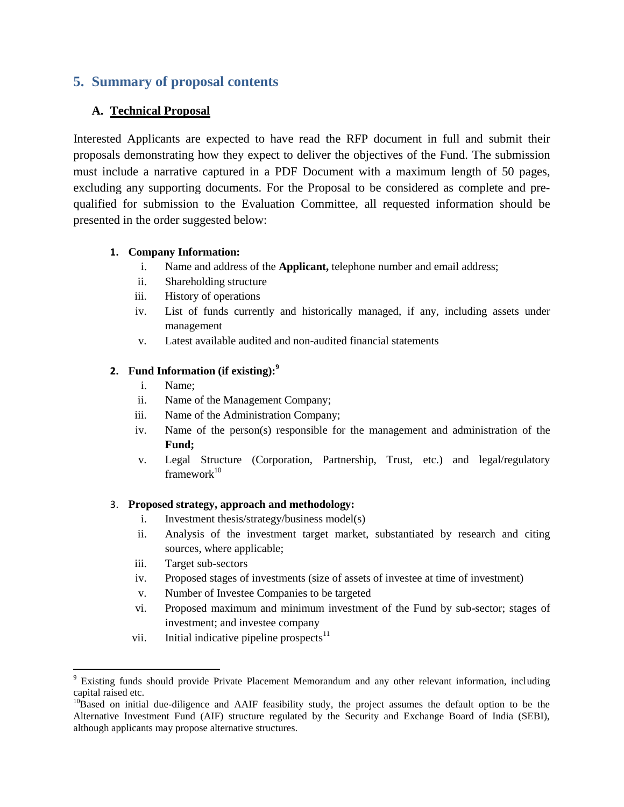## <span id="page-9-0"></span>**5. Summary of proposal contents**

### **A. Technical Proposal**

Interested Applicants are expected to have read the RFP document in full and submit their proposals demonstrating how they expect to deliver the objectives of the Fund. The submission must include a narrative captured in a PDF Document with a maximum length of 50 pages, excluding any supporting documents. For the Proposal to be considered as complete and prequalified for submission to the Evaluation Committee, all requested information should be presented in the order suggested below:

#### **1. Company Information:**

- i. Name and address of the **Applicant,** telephone number and email address;
- ii. Shareholding structure
- iii. History of operations
- iv. List of funds currently and historically managed, if any, including assets under management
- v. Latest available audited and non-audited financial statements

#### **2. Fund Information (if existing):<sup>9</sup>**

- i. Name;
- ii. Name of the Management Company;
- iii. Name of the Administration Company;
- iv. Name of the person(s) responsible for the management and administration of the **Fund;**
- v. Legal Structure (Corporation, Partnership, Trust, etc.) and legal/regulatory framework $10$

#### 3. **Proposed strategy, approach and methodology:**

- i. Investment thesis/strategy/business model(s)
- ii. Analysis of the investment target market, substantiated by research and citing sources, where applicable;
- iii. Target sub-sectors

- iv. Proposed stages of investments (size of assets of investee at time of investment)
- v. Number of Investee Companies to be targeted
- vi. Proposed maximum and minimum investment of the Fund by sub-sector; stages of investment; and investee company
- vii. Initial indicative pipeline prospects $11$

<sup>&</sup>lt;sup>9</sup> Existing funds should provide Private Placement Memorandum and any other relevant information, including capital raised etc.

 $10\text{B}$ ased on initial due-diligence and AAIF feasibility study, the project assumes the default option to be the Alternative Investment Fund (AIF) structure regulated by the Security and Exchange Board of India (SEBI), although applicants may propose alternative structures.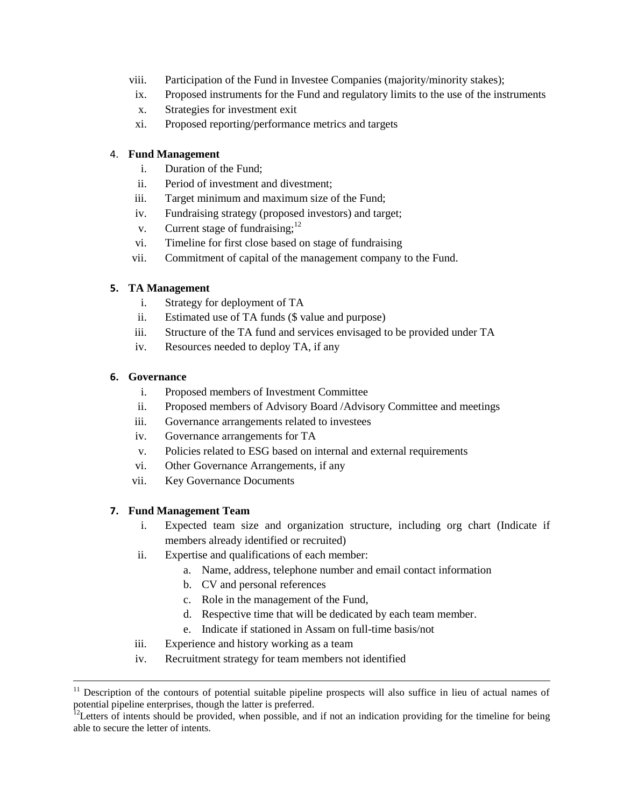- viii. Participation of the Fund in Investee Companies (majority/minority stakes);
- ix. Proposed instruments for the Fund and regulatory limits to the use of the instruments
- x. Strategies for investment exit
- xi. Proposed reporting/performance metrics and targets

#### 4. **Fund Management**

- i. Duration of the Fund;
- ii. Period of investment and divestment;
- iii. Target minimum and maximum size of the Fund;
- iv. Fundraising strategy (proposed investors) and target;
- v. Current stage of fundraising; $12$
- vi. Timeline for first close based on stage of fundraising
- vii. Commitment of capital of the management company to the Fund.

#### **5. TA Management**

- i. Strategy for deployment of TA
- ii. Estimated use of TA funds (\$ value and purpose)
- iii. Structure of the TA fund and services envisaged to be provided under TA
- iv. Resources needed to deploy TA, if any

#### **6. Governance**

 $\overline{a}$ 

- i. Proposed members of Investment Committee
- ii. Proposed members of Advisory Board /Advisory Committee and meetings
- iii. Governance arrangements related to investees
- iv. Governance arrangements for TA
- v. Policies related to ESG based on internal and external requirements
- vi. Other Governance Arrangements, if any
- vii. Key Governance Documents

#### **7. Fund Management Team**

- i. Expected team size and organization structure, including org chart (Indicate if members already identified or recruited)
- ii. Expertise and qualifications of each member:
	- a. Name, address, telephone number and email contact information
	- b. CV and personal references
	- c. Role in the management of the Fund,
	- d. Respective time that will be dedicated by each team member.
	- e. Indicate if stationed in Assam on full-time basis/not
- iii. Experience and history working as a team
- iv. Recruitment strategy for team members not identified

 $11$  Description of the contours of potential suitable pipeline prospects will also suffice in lieu of actual names of potential pipeline enterprises, though the latter is preferred.

 $12$ Letters of intents should be provided, when possible, and if not an indication providing for the timeline for being able to secure the letter of intents.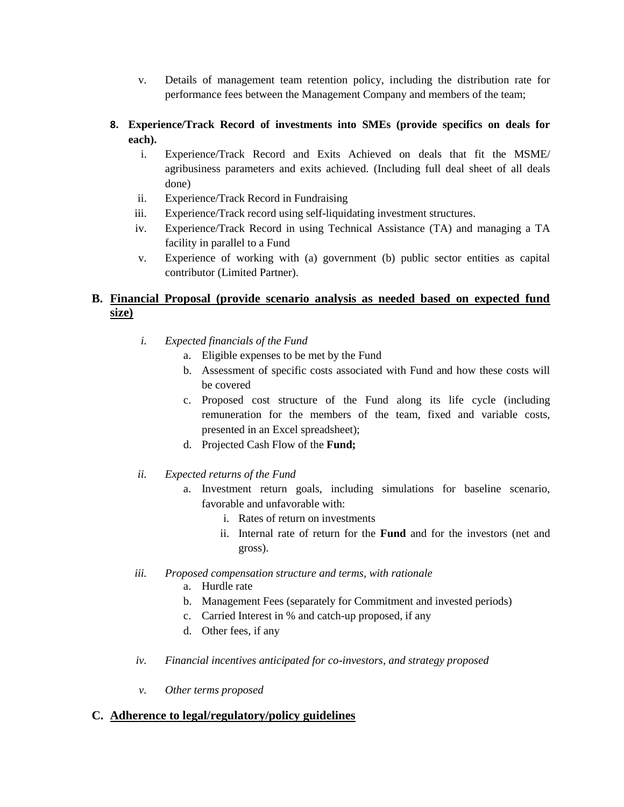- v. Details of management team retention policy, including the distribution rate for performance fees between the Management Company and members of the team;
- **8. Experience/Track Record of investments into SMEs (provide specifics on deals for each).**
	- i. Experience/Track Record and Exits Achieved on deals that fit the MSME/ agribusiness parameters and exits achieved. (Including full deal sheet of all deals done)
	- ii. Experience/Track Record in Fundraising
	- iii. Experience/Track record using self-liquidating investment structures.
	- iv. Experience/Track Record in using Technical Assistance (TA) and managing a TA facility in parallel to a Fund
	- v. Experience of working with (a) government (b) public sector entities as capital contributor (Limited Partner).

### **B. Financial Proposal (provide scenario analysis as needed based on expected fund size)**

- *i. Expected financials of the Fund* 
	- a. Eligible expenses to be met by the Fund
	- b. Assessment of specific costs associated with Fund and how these costs will be covered
	- c. Proposed cost structure of the Fund along its life cycle (including remuneration for the members of the team, fixed and variable costs, presented in an Excel spreadsheet);
	- d. Projected Cash Flow of the **Fund;**
- *ii. Expected returns of the Fund*
	- a. Investment return goals, including simulations for baseline scenario, favorable and unfavorable with:
		- i. Rates of return on investments
		- ii. Internal rate of return for the **Fund** and for the investors (net and gross).
- *iii. Proposed compensation structure and terms, with rationale* 
	- a. Hurdle rate
	- b. Management Fees (separately for Commitment and invested periods)
	- c. Carried Interest in % and catch-up proposed, if any
	- d. Other fees, if any
- *iv. Financial incentives anticipated for co-investors, and strategy proposed*
- *v. Other terms proposed*

#### **C. Adherence to legal/regulatory/policy guidelines**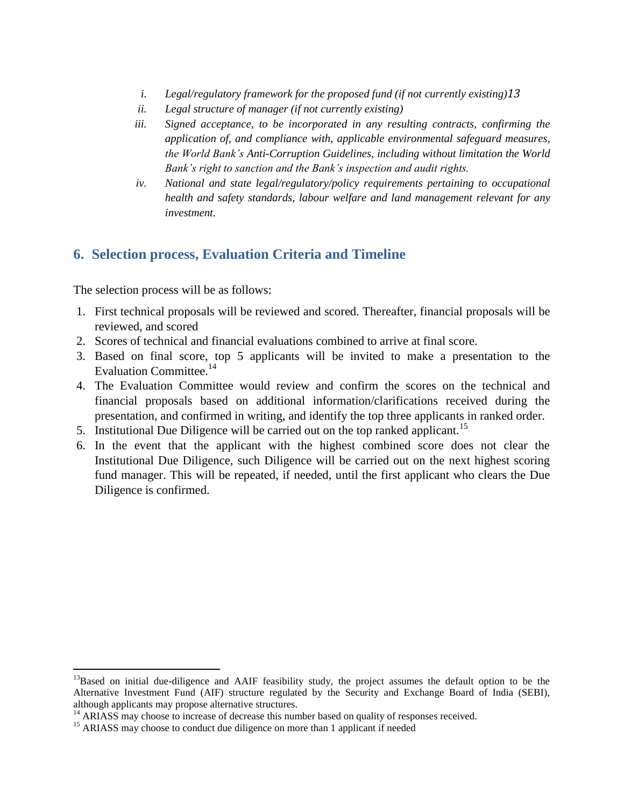- *i. Legal/regulatory framework for the proposed fund (if not currently existing)13*
- *ii. Legal structure of manager (if not currently existing)*
- *iii. Signed acceptance, to be incorporated in any resulting contracts, confirming the application of, and compliance with, applicable environmental safeguard measures, the World Bank's Anti-Corruption Guidelines, including without limitation the World Bank's right to sanction and the Bank's inspection and audit rights.*
- *iv. National and state legal/regulatory/policy requirements pertaining to occupational health and safety standards, labour welfare and land management relevant for any investment.*

## <span id="page-12-0"></span>**6. Selection process, Evaluation Criteria and Timeline**

The selection process will be as follows:

- 1. First technical proposals will be reviewed and scored. Thereafter, financial proposals will be reviewed, and scored
- 2. Scores of technical and financial evaluations combined to arrive at final score.
- 3. Based on final score, top 5 applicants will be invited to make a presentation to the Evaluation Committee.<sup>14</sup>
- 4. The Evaluation Committee would review and confirm the scores on the technical and financial proposals based on additional information/clarifications received during the presentation, and confirmed in writing, and identify the top three applicants in ranked order.
- 5. Institutional Due Diligence will be carried out on the top ranked applicant.<sup>15</sup>
- 6. In the event that the applicant with the highest combined score does not clear the Institutional Due Diligence, such Diligence will be carried out on the next highest scoring fund manager. This will be repeated, if needed, until the first applicant who clears the Due Diligence is confirmed.

<sup>&</sup>lt;sup>13</sup>Based on initial due-diligence and AAIF feasibility study, the project assumes the default option to be the Alternative Investment Fund (AIF) structure regulated by the Security and Exchange Board of India (SEBI), although applicants may propose alternative structures.

 $14$  ARIASS may choose to increase of decrease this number based on quality of responses received.

<sup>&</sup>lt;sup>15</sup> ARIASS may choose to conduct due diligence on more than 1 applicant if needed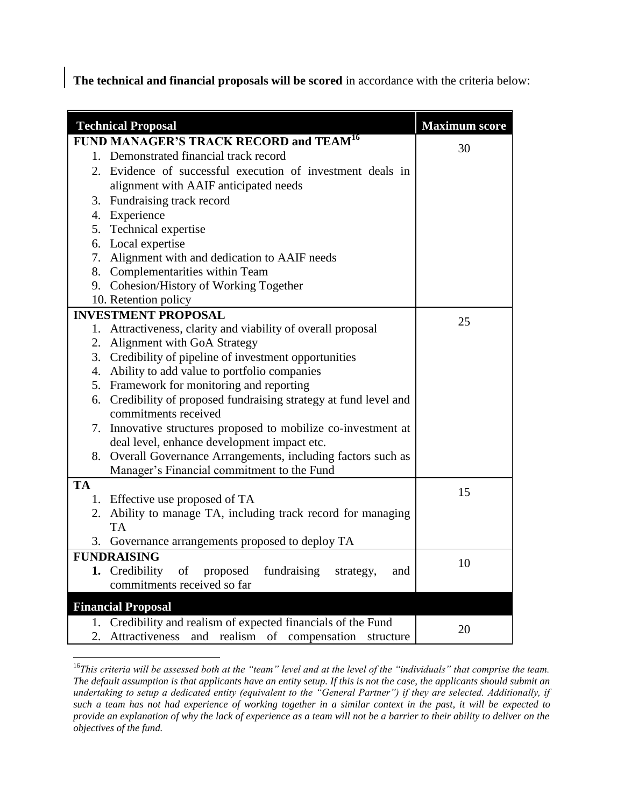**The technical and financial proposals will be scored** in accordance with the criteria below:

|                           | <b>Technical Proposal</b>                                                                    | <b>Maximum score</b> |  |  |  |  |
|---------------------------|----------------------------------------------------------------------------------------------|----------------------|--|--|--|--|
|                           |                                                                                              |                      |  |  |  |  |
|                           | FUND MANAGER'S TRACK RECORD and TEAM <sup>16</sup><br>1. Demonstrated financial track record | 30                   |  |  |  |  |
|                           | 2. Evidence of successful execution of investment deals in                                   |                      |  |  |  |  |
|                           | alignment with AAIF anticipated needs                                                        |                      |  |  |  |  |
|                           | 3. Fundraising track record                                                                  |                      |  |  |  |  |
|                           | 4. Experience                                                                                |                      |  |  |  |  |
|                           | 5. Technical expertise                                                                       |                      |  |  |  |  |
|                           | 6. Local expertise                                                                           |                      |  |  |  |  |
|                           | 7. Alignment with and dedication to AAIF needs                                               |                      |  |  |  |  |
|                           | 8. Complementarities within Team                                                             |                      |  |  |  |  |
|                           | 9. Cohesion/History of Working Together                                                      |                      |  |  |  |  |
|                           | 10. Retention policy                                                                         |                      |  |  |  |  |
|                           | <b>INVESTMENT PROPOSAL</b>                                                                   |                      |  |  |  |  |
|                           | 1. Attractiveness, clarity and viability of overall proposal                                 | 25                   |  |  |  |  |
|                           | 2. Alignment with GoA Strategy                                                               |                      |  |  |  |  |
|                           | 3. Credibility of pipeline of investment opportunities                                       |                      |  |  |  |  |
|                           | 4. Ability to add value to portfolio companies                                               |                      |  |  |  |  |
|                           | 5. Framework for monitoring and reporting                                                    |                      |  |  |  |  |
|                           | 6. Credibility of proposed fundraising strategy at fund level and                            |                      |  |  |  |  |
|                           | commitments received                                                                         |                      |  |  |  |  |
|                           | 7. Innovative structures proposed to mobilize co-investment at                               |                      |  |  |  |  |
|                           | deal level, enhance development impact etc.                                                  |                      |  |  |  |  |
|                           | 8. Overall Governance Arrangements, including factors such as                                |                      |  |  |  |  |
|                           | Manager's Financial commitment to the Fund                                                   |                      |  |  |  |  |
| <b>TA</b>                 |                                                                                              | 15                   |  |  |  |  |
|                           | 1. Effective use proposed of TA                                                              |                      |  |  |  |  |
|                           | 2. Ability to manage TA, including track record for managing                                 |                      |  |  |  |  |
|                           | <b>TA</b>                                                                                    |                      |  |  |  |  |
| 3.                        | Governance arrangements proposed to deploy TA                                                |                      |  |  |  |  |
|                           | <b>FUNDRAISING</b>                                                                           | 10                   |  |  |  |  |
|                           | 1. Credibility of proposed<br>fundraising<br>strategy,<br>and                                |                      |  |  |  |  |
|                           | commitments received so far                                                                  |                      |  |  |  |  |
| <b>Financial Proposal</b> |                                                                                              |                      |  |  |  |  |
| 1.                        | Credibility and realism of expected financials of the Fund                                   |                      |  |  |  |  |
| 2.                        | and realism of compensation<br>Attractiveness<br>structure                                   | 20                   |  |  |  |  |

<sup>&</sup>lt;sup>16</sup>This criteria will be assessed both at the "team" level and at the level of the "individuals" that comprise the team. *The default assumption is that applicants have an entity setup. If this is not the case, the applicants should submit an undertaking to setup a dedicated entity (equivalent to the "General Partner") if they are selected. Additionally, if such a team has not had experience of working together in a similar context in the past, it will be expected to provide an explanation of why the lack of experience as a team will not be a barrier to their ability to deliver on the objectives of the fund.*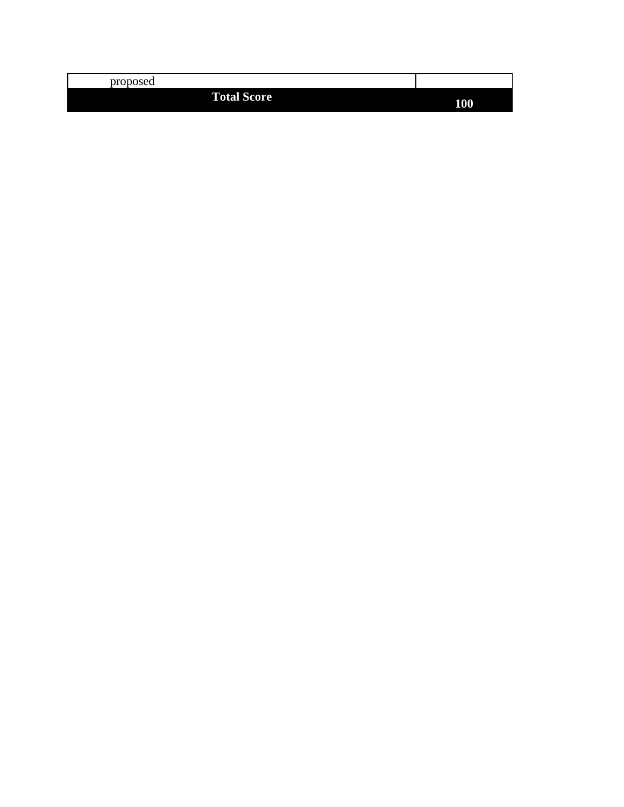| proposed |                    |     |
|----------|--------------------|-----|
|          | <b>Total Score</b> | 100 |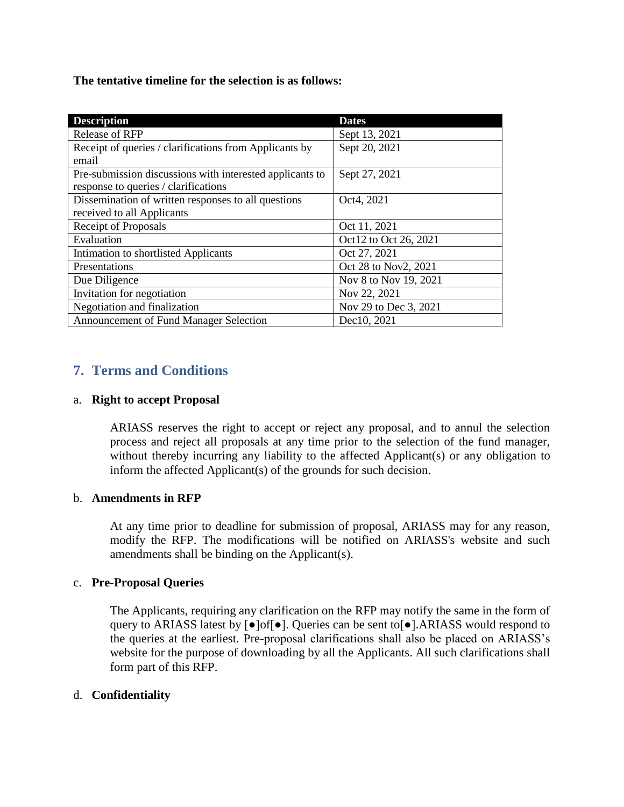**The tentative timeline for the selection is as follows:** 

| <b>Description</b>                                                                               | <b>Dates</b>          |
|--------------------------------------------------------------------------------------------------|-----------------------|
| <b>Release of RFP</b>                                                                            | Sept 13, 2021         |
| Receipt of queries / clarifications from Applicants by<br>email                                  | Sept 20, 2021         |
| Pre-submission discussions with interested applicants to<br>response to queries / clarifications | Sept 27, 2021         |
| Dissemination of written responses to all questions<br>received to all Applicants                | Oct4, 2021            |
| Receipt of Proposals                                                                             | Oct 11, 2021          |
| Evaluation                                                                                       | Oct12 to Oct 26, 2021 |
| Intimation to shortlisted Applicants                                                             | Oct 27, 2021          |
| Presentations                                                                                    | Oct 28 to Nov2, 2021  |
| Due Diligence                                                                                    | Nov 8 to Nov 19, 2021 |
| Invitation for negotiation                                                                       | Nov 22, 2021          |
| Negotiation and finalization                                                                     | Nov 29 to Dec 3, 2021 |
| Announcement of Fund Manager Selection                                                           | Dec10, 2021           |

## <span id="page-15-0"></span>**7. Terms and Conditions**

#### a. **Right to accept Proposal**

ARIASS reserves the right to accept or reject any proposal, and to annul the selection process and reject all proposals at any time prior to the selection of the fund manager, without thereby incurring any liability to the affected Applicant(s) or any obligation to inform the affected Applicant(s) of the grounds for such decision.

#### b. **Amendments in RFP**

At any time prior to deadline for submission of proposal, ARIASS may for any reason, modify the RFP. The modifications will be notified on ARIASS's website and such amendments shall be binding on the Applicant(s).

### c. **Pre-Proposal Queries**

The Applicants, requiring any clarification on the RFP may notify the same in the form of query to ARIASS latest by [●]of[●]. Queries can be sent to[●].ARIASS would respond to the queries at the earliest. Pre-proposal clarifications shall also be placed on ARIASS"s website for the purpose of downloading by all the Applicants. All such clarifications shall form part of this RFP.

### d. **Confidentiality**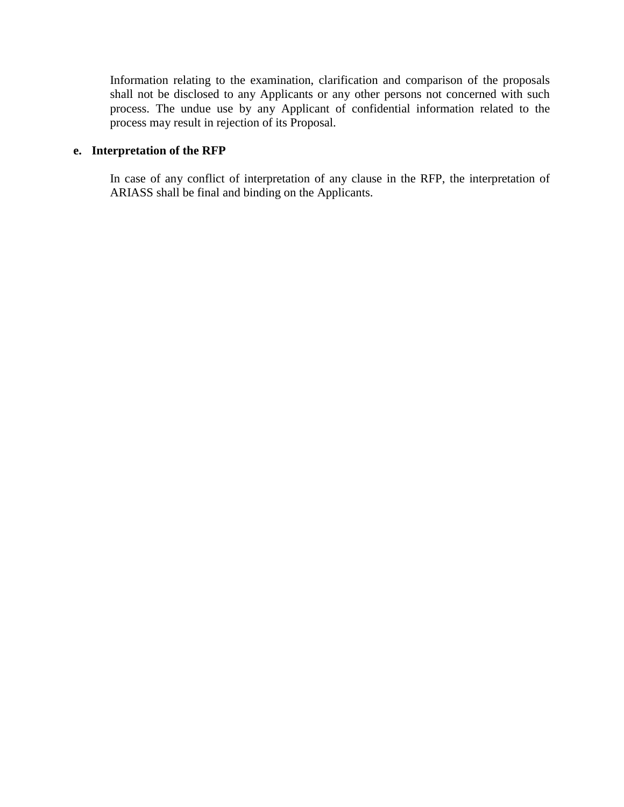Information relating to the examination, clarification and comparison of the proposals shall not be disclosed to any Applicants or any other persons not concerned with such process. The undue use by any Applicant of confidential information related to the process may result in rejection of its Proposal.

### **e. Interpretation of the RFP**

In case of any conflict of interpretation of any clause in the RFP, the interpretation of ARIASS shall be final and binding on the Applicants.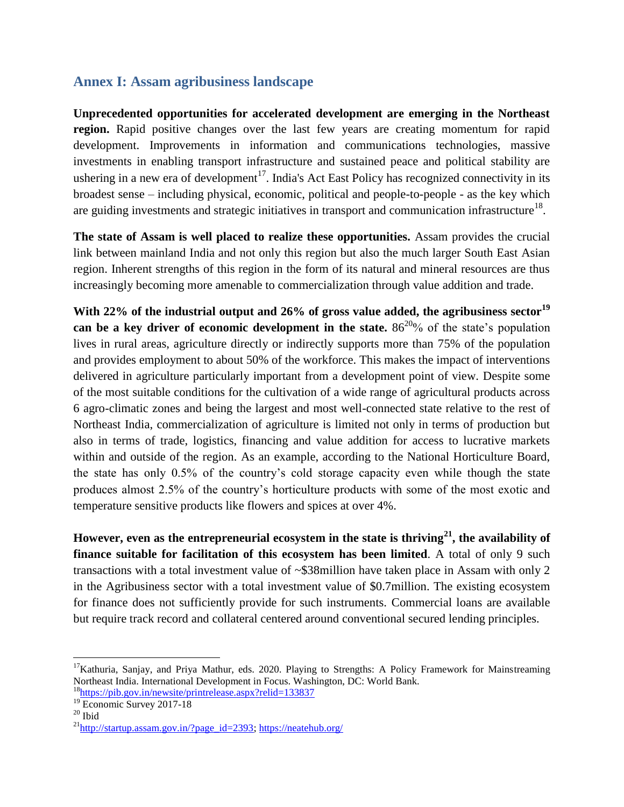## **Annex I: Assam agribusiness landscape**

<span id="page-17-0"></span>**Unprecedented opportunities for accelerated development are emerging in the Northeast**  region. Rapid positive changes over the last few years are creating momentum for rapid development. Improvements in information and communications technologies, massive investments in enabling transport infrastructure and sustained peace and political stability are ushering in a new era of development<sup>17</sup>. India's Act East Policy has recognized connectivity in its broadest sense – including physical, economic, political and people-to-people - as the key which are guiding investments and strategic initiatives in transport and communication infrastructure<sup>18</sup>.

**The state of Assam is well placed to realize these opportunities.** Assam provides the crucial link between mainland India and not only this region but also the much larger South East Asian region. Inherent strengths of this region in the form of its natural and mineral resources are thus increasingly becoming more amenable to commercialization through value addition and trade.

**With 22% of the industrial output and 26% of gross value added, the agribusiness sector<sup>19</sup> can be a key driver of economic development in the state.**  $86^{20}\%$  of the state's population lives in rural areas, agriculture directly or indirectly supports more than 75% of the population and provides employment to about 50% of the workforce. This makes the impact of interventions delivered in agriculture particularly important from a development point of view. Despite some of the most suitable conditions for the cultivation of a wide range of agricultural products across 6 agro-climatic zones and being the largest and most well-connected state relative to the rest of Northeast India, commercialization of agriculture is limited not only in terms of production but also in terms of trade, logistics, financing and value addition for access to lucrative markets within and outside of the region. As an example, according to the National Horticulture Board, the state has only 0.5% of the country"s cold storage capacity even while though the state produces almost 2.5% of the country"s horticulture products with some of the most exotic and temperature sensitive products like flowers and spices at over 4%.

**However, even as the entrepreneurial ecosystem in the state is thriving<sup>21</sup>, the availability of finance suitable for facilitation of this ecosystem has been limited**. A total of only 9 such transactions with a total investment value of ~\$38million have taken place in Assam with only 2 in the Agribusiness sector with a total investment value of \$0.7million. The existing ecosystem for finance does not sufficiently provide for such instruments. Commercial loans are available but require track record and collateral centered around conventional secured lending principles.

 $17$ Kathuria, Sanjay, and Priya Mathur, eds. 2020. Playing to Strengths: A Policy Framework for Mainstreaming Northeast India. International Development in Focus. Washington, DC: World Bank.

<sup>18</sup><https://pib.gov.in/newsite/printrelease.aspx?relid=133837>

<sup>&</sup>lt;sup>19</sup> Economic Survey 2017-18

 $20$  Ibid

 $^{21}$ [http://startup.assam.gov.in/?page\\_id=2393;](http://startup.assam.gov.in/?page_id=2393)<https://neatehub.org/>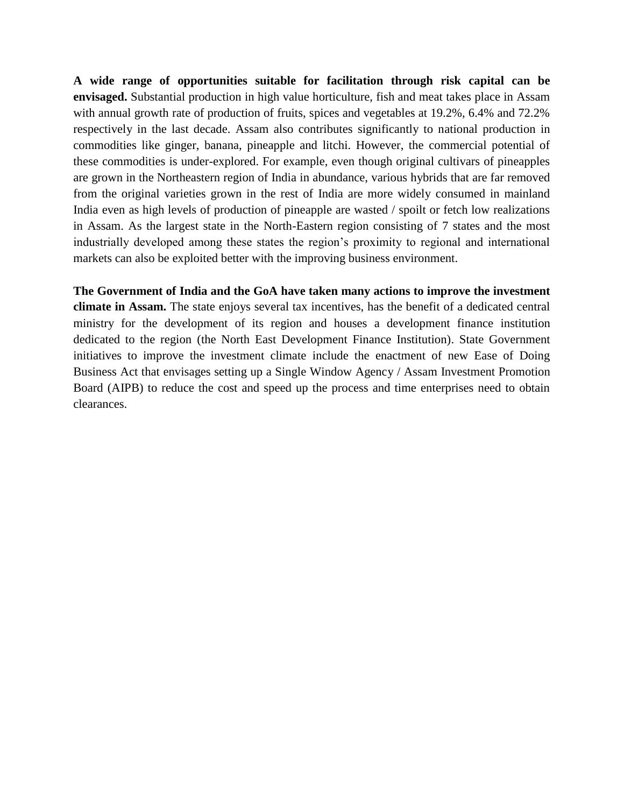**A wide range of opportunities suitable for facilitation through risk capital can be envisaged.** Substantial production in high value horticulture, fish and meat takes place in Assam with annual growth rate of production of fruits, spices and vegetables at 19.2%, 6.4% and 72.2% respectively in the last decade. Assam also contributes significantly to national production in commodities like ginger, banana, pineapple and litchi. However, the commercial potential of these commodities is under-explored. For example, even though original cultivars of pineapples are grown in the Northeastern region of India in abundance, various hybrids that are far removed from the original varieties grown in the rest of India are more widely consumed in mainland India even as high levels of production of pineapple are wasted / spoilt or fetch low realizations in Assam. As the largest state in the North-Eastern region consisting of 7 states and the most industrially developed among these states the region"s proximity to regional and international markets can also be exploited better with the improving business environment.

**The Government of India and the GoA have taken many actions to improve the investment climate in Assam.** The state enjoys several tax incentives, has the benefit of a dedicated central ministry for the development of its region and houses a development finance institution dedicated to the region (the North East Development Finance Institution). State Government initiatives to improve the investment climate include the enactment of new Ease of Doing Business Act that envisages setting up a Single Window Agency / Assam Investment Promotion Board (AIPB) to reduce the cost and speed up the process and time enterprises need to obtain clearances.